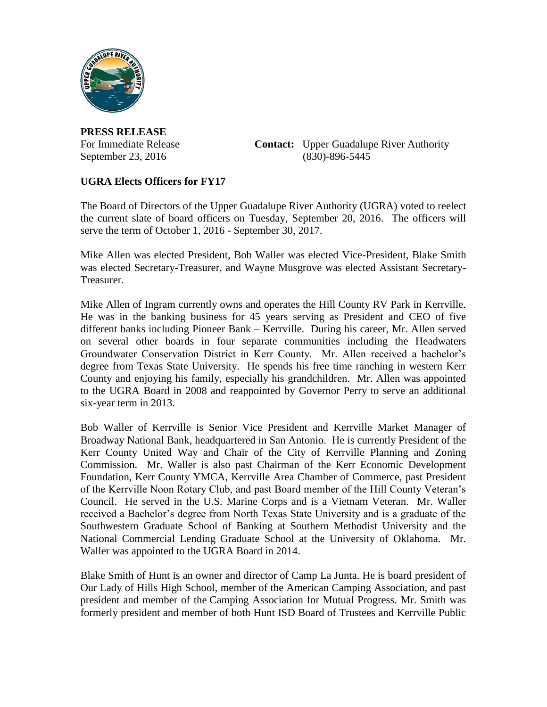

**PRESS RELEASE**

For Immediate Release **Contact:** Upper Guadalupe River Authority September 23, 2016 (830)-896-5445

## **UGRA Elects Officers for FY17**

The Board of Directors of the Upper Guadalupe River Authority (UGRA) voted to reelect the current slate of board officers on Tuesday, September 20, 2016. The officers will serve the term of October 1, 2016 - September 30, 2017.

Mike Allen was elected President, Bob Waller was elected Vice-President, Blake Smith was elected Secretary-Treasurer, and Wayne Musgrove was elected Assistant Secretary-Treasurer.

Mike Allen of Ingram currently owns and operates the Hill County RV Park in Kerrville. He was in the banking business for 45 years serving as President and CEO of five different banks including Pioneer Bank – Kerrville. During his career, Mr. Allen served on several other boards in four separate communities including the Headwaters Groundwater Conservation District in Kerr County. Mr. Allen received a bachelor's degree from Texas State University. He spends his free time ranching in western Kerr County and enjoying his family, especially his grandchildren. Mr. Allen was appointed to the UGRA Board in 2008 and reappointed by Governor Perry to serve an additional six-year term in 2013.

Bob Waller of Kerrville is Senior Vice President and Kerrville Market Manager of Broadway National Bank, headquartered in San Antonio. He is currently President of the Kerr County United Way and Chair of the City of Kerrville Planning and Zoning Commission. Mr. Waller is also past Chairman of the Kerr Economic Development Foundation, Kerr County YMCA, Kerrville Area Chamber of Commerce, past President of the Kerrville Noon Rotary Club, and past Board member of the Hill County Veteran's Council. He served in the U.S. Marine Corps and is a Vietnam Veteran. Mr. Waller received a Bachelor's degree from North Texas State University and is a graduate of the Southwestern Graduate School of Banking at Southern Methodist University and the National Commercial Lending Graduate School at the University of Oklahoma. Mr. Waller was appointed to the UGRA Board in 2014.

Blake Smith of Hunt is an owner and director of Camp La Junta. He is board president of Our Lady of Hills High School, member of the American Camping Association, and past president and member of the Camping Association for Mutual Progress. Mr. Smith was formerly president and member of both Hunt ISD Board of Trustees and Kerrville Public